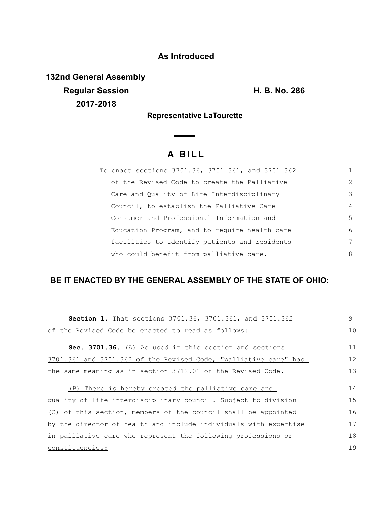## **As Introduced**

**132nd General Assembly Regular Session H. B. No. 286 2017-2018**

**Representative LaTourette**

 $\overline{\phantom{0}}$ 

## **A B I L L**

| To enact sections 3701.36, 3701.361, and 3701.362 |                |
|---------------------------------------------------|----------------|
| of the Revised Code to create the Palliative      | 2              |
| Care and Quality of Life Interdisciplinary        | 3              |
| Council, to establish the Palliative Care         | $\overline{4}$ |
| Consumer and Professional Information and         | .5             |
| Education Program, and to require health care     | 6              |
| facilities to identify patients and residents     | 7              |
| who could benefit from palliative care.           | 8              |

## **BE IT ENACTED BY THE GENERAL ASSEMBLY OF THE STATE OF OHIO:**

| <b>Section 1.</b> That sections 3701.36, 3701.361, and 3701.362  | 9  |
|------------------------------------------------------------------|----|
| of the Revised Code be enacted to read as follows:               | 10 |
| Sec. 3701.36. (A) As used in this section and sections           | 11 |
| 3701.361 and 3701.362 of the Revised Code, "palliative care" has | 12 |
| the same meaning as in section 3712.01 of the Revised Code.      | 13 |
| (B) There is hereby created the palliative care and              | 14 |
| quality of life interdisciplinary council. Subject to division   | 15 |
| (C) of this section, members of the council shall be appointed   | 16 |
| by the director of health and include individuals with expertise | 17 |
| in palliative care who represent the following professions or    | 18 |
| constituencies:                                                  | 19 |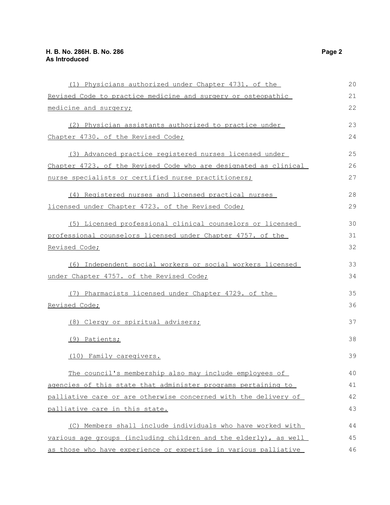| (1) Physicians authorized under Chapter 4731. of the             | 20 |
|------------------------------------------------------------------|----|
| Revised Code to practice medicine and surgery or osteopathic     | 21 |
| medicine and surgery;                                            | 22 |
| (2) Physician assistants authorized to practice under            | 23 |
| Chapter 4730. of the Revised Code;                               | 24 |
| (3) Advanced practice registered nurses licensed under           | 25 |
| Chapter 4723. of the Revised Code who are designated as clinical | 26 |
| nurse specialists or certified nurse practitioners;              |    |
| (4) Registered nurses and licensed practical nurses              | 28 |
| licensed under Chapter 4723. of the Revised Code;                | 29 |
| (5) Licensed professional clinical counselors or licensed        | 30 |
| professional counselors licensed under Chapter 4757. of the      | 31 |
| Revised Code;                                                    | 32 |
| (6) Independent social workers or social workers licensed        | 33 |
| under Chapter 4757. of the Revised Code;                         | 34 |
| (7) Pharmacists licensed under Chapter 4729. of the              | 35 |
| Revised Code;                                                    | 36 |
| (8) Clergy or spiritual advisers;                                | 37 |
| (9) Patients;                                                    | 38 |
| (10) Family caregivers.                                          | 39 |
| The council's membership also may include employees of           | 40 |
| agencies of this state that administer programs pertaining to    | 41 |
| palliative care or are otherwise concerned with the delivery of  | 42 |
| palliative care in this state.                                   | 43 |
| (C) Members shall include individuals who have worked with       | 44 |
| various age groups (including children and the elderly), as well | 45 |
| as those who have experience or expertise in various palliative  | 46 |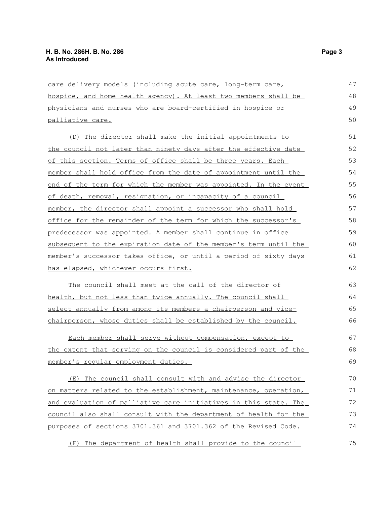## **H. B. No. 286H. B. No. 286 Page 3 As Introduced**

| care delivery models (including acute care, long-term care,      |    |
|------------------------------------------------------------------|----|
| hospice, and home health agency). At least two members shall be  | 48 |
| physicians and nurses who are board-certified in hospice or      | 49 |
| palliative care.                                                 | 50 |
| (D) The director shall make the initial appointments to          | 51 |
| the council not later than ninety days after the effective date  | 52 |
| of this section. Terms of office shall be three years. Each      | 53 |
| member shall hold office from the date of appointment until the  | 54 |
| end of the term for which the member was appointed. In the event | 55 |
| of death, removal, resignation, or incapacity of a council       | 56 |
| member, the director shall appoint a successor who shall hold    | 57 |
| office for the remainder of the term for which the successor's   | 58 |
| predecessor was appointed. A member shall continue in office     | 59 |
| subsequent to the expiration date of the member's term until the | 60 |
| member's successor takes office, or until a period of sixty days | 61 |
| has elapsed, whichever occurs first.                             | 62 |
| <u>The council shall meet at the call of the director of</u>     | 63 |
| health, but not less than twice annually. The council shall      | 64 |
| select annually from among its members a chairperson and vice-   | 65 |
| chairperson, whose duties shall be established by the council.   | 66 |
| Each member shall serve without compensation, except to          | 67 |
| the extent that serving on the council is considered part of the | 68 |
| member's regular employment duties.                              | 69 |
| (E) The council shall consult with and advise the director       | 70 |
| on matters related to the establishment, maintenance, operation, | 71 |
| and evaluation of palliative care initiatives in this state. The | 72 |
| council also shall consult with the department of health for the | 73 |
| purposes of sections 3701.361 and 3701.362 of the Revised Code.  | 74 |
| The department of health shall provide to the council<br>(F)     | 75 |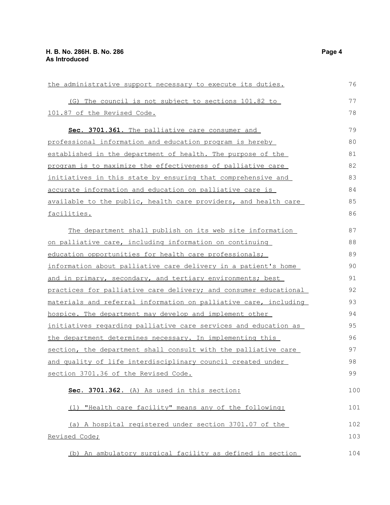| the administrative support necessary to execute its duties.         | 76  |
|---------------------------------------------------------------------|-----|
| (G) The council is not subject to sections 101.82 to                | 77  |
| 101.87 of the Revised Code.                                         |     |
| Sec. 3701.361. The palliative care consumer and                     | 79  |
| professional information and education program is hereby            | 80  |
| established in the department of health. The purpose of the         | 81  |
| program is to maximize the effectiveness of palliative care         | 82  |
| <u>initiatives in this state by ensuring that comprehensive and</u> | 83  |
| accurate information and education on palliative care is            | 84  |
| available to the public, health care providers, and health care     | 85  |
| facilities.                                                         | 86  |
| The department shall publish on its web site information            | 87  |
| on palliative care, including information on continuing             | 88  |
| education opportunities for health care professionals;              | 89  |
| information about palliative care delivery in a patient's home      | 90  |
| and in primary, secondary, and tertiary environments; best          | 91  |
| practices for palliative care delivery; and consumer educational    | 92  |
| materials and referral information on palliative care, including    | 93  |
| hospice. The department may develop and implement other             | 94  |
| initiatives regarding palliative care services and education as     | 95  |
| the department determines necessary. In implementing this           | 96  |
| section, the department shall consult with the palliative care      | 97  |
| and quality of life interdisciplinary council created under         | 98  |
| section 3701.36 of the Revised Code.                                | 99  |
| Sec. 3701.362. (A) As used in this section:                         | 100 |
| (1) "Health care facility" means any of the following:              | 101 |
| (a) A hospital registered under section 3701.07 of the              | 102 |
| Revised Code;                                                       | 103 |
| (b) An ambulatory surgical facility as defined in section           | 104 |